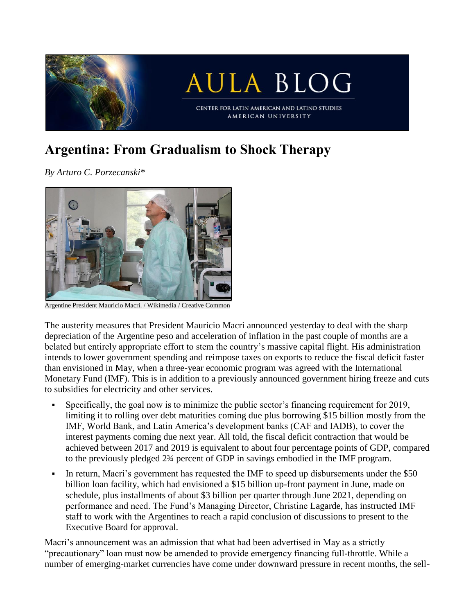

## **Argentina: From Gradualism to Shock Therapy**

*By Arturo C. Porzecanski\**



Argentine President Mauricio Macri. / Wikimedia / Creative Common

The austerity measures that President Mauricio Macri announced yesterday to deal with the sharp depreciation of the Argentine peso and acceleration of inflation in the past couple of months are a belated but entirely appropriate effort to stem the country's massive capital flight. His administration intends to lower government spending and reimpose taxes on exports to reduce the fiscal deficit faster than envisioned in May, when a three-year economic program was agreed with the International Monetary Fund (IMF). This is in addition to a previously announced government hiring freeze and cuts to subsidies for electricity and other services.

- Specifically, the goal now is to minimize the public sector's financing requirement for 2019, limiting it to rolling over debt maturities coming due plus borrowing \$15 billion mostly from the IMF, World Bank, and Latin America's development banks (CAF and IADB), to cover the interest payments coming due next year. All told, the fiscal deficit contraction that would be achieved between 2017 and 2019 is equivalent to about four percentage points of GDP, compared to the previously pledged 2¾ percent of GDP in savings embodied in the IMF program.
- In return, Macri's government has requested the IMF to speed up disbursements under the \$50 billion loan facility, which had envisioned a \$15 billion up-front payment in June, made on schedule, plus installments of about \$3 billion per quarter through June 2021, depending on performance and need. The Fund's Managing Director, Christine Lagarde, has instructed IMF staff to work with the Argentines to reach a rapid conclusion of discussions to present to the Executive Board for approval.

Macri's announcement was an admission that what had been advertised in May as a strictly "precautionary" loan must now be amended to provide emergency financing full-throttle. While a number of emerging-market currencies have come under downward pressure in recent months, the sell